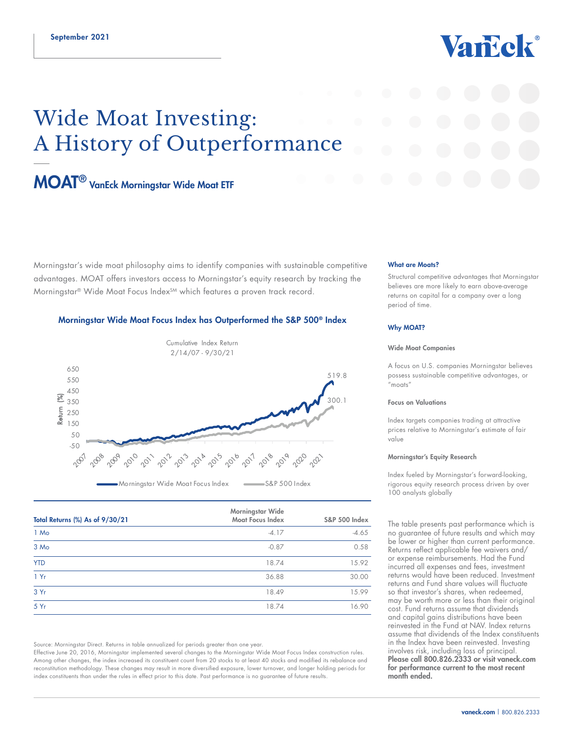# Vancek®

## Wide Moat Investing: A History of Outperformance

### [MOAT® VanEck Morningstar Wide Moat ETF](https://www.vaneck.com/us/en/investments/morningstar-wide-moat-etf-moat/)

Morningstar's wide moat philosophy aims to identify companies with sustainable competitive advantages. MOAT offers investors access to Morningstar's equity research by tracking the Morningstar® Wide Moat Focus Index<sup>SM</sup> which features a proven track record.

#### Morningstar Wide Moat Focus Index has Outperformed the S&P 500® Index



| Total Returns (%) As of 9/30/21 | Morningstar Wide<br><b>Moat Focus Index</b> | <b>S&amp;P 500 Index</b> |
|---------------------------------|---------------------------------------------|--------------------------|
| 1 Mo                            | $-4.17$                                     | $-4.65$                  |
| 3 Mo                            | $-0.87$                                     | 0.58                     |
| <b>YTD</b>                      | 18.74                                       | 15.92                    |
| 1Yr                             | 36.88                                       | 30.00                    |
| 3 Yr                            | 18.49                                       | 15.99                    |
| 5Yr                             | 18.74                                       | 16.90                    |

Source: Morningstar Direct. Returns in table annualized for periods greater than one year.

Effective June 20, 2016, Morningstar implemented several changes to the Morningstar Wide Moat Focus Index construction rules. Among other changes, the index increased its constituent count from 20 stocks to at least 40 stocks and modified its rebalance and reconstitution methodology. These changes may result in more diversified exposure, lower turnover, and longer holding periods for index constituents than under the rules in effect prior to this date. Past performance is no guarantee of future results.

#### What are Moats?

Structural competitive advantages that Morningstar believes are more likely to earn above-average returns on capital for a company over a long period of time.

#### Why MOAT?

#### Wide Moat Companies

A focus on U.S. companies Morningstar believes possess sustainable competitive advantages, or "moats"

#### Focus on Valuations

Index targets companies trading at attractive prices relative to Morningstar's estimate of fair value

#### Morningstar's Equity Research

Index fueled by Morningstar's forward-looking, rigorous equity research process driven by over 100 analysts globally

The table presents past performance which is no guarantee of future results and which may be lower or higher than current performance. Returns reflect applicable fee waivers and/ or expense reimbursements. Had the Fund incurred all expenses and fees, investment returns would have been reduced. Investment returns and Fund share values will fluctuate so that investor's shares, when redeemed, may be worth more or less than their original cost. Fund returns assume that dividends and capital gains distributions have been reinvested in the Fund at NAV. Index returns assume that dividends of the Index constituents in the Index have been reinvested. Investing involves risk, including loss of principal. Please call 800.826.2333 or visit vaneck.com for performance current to the most recent month ended.